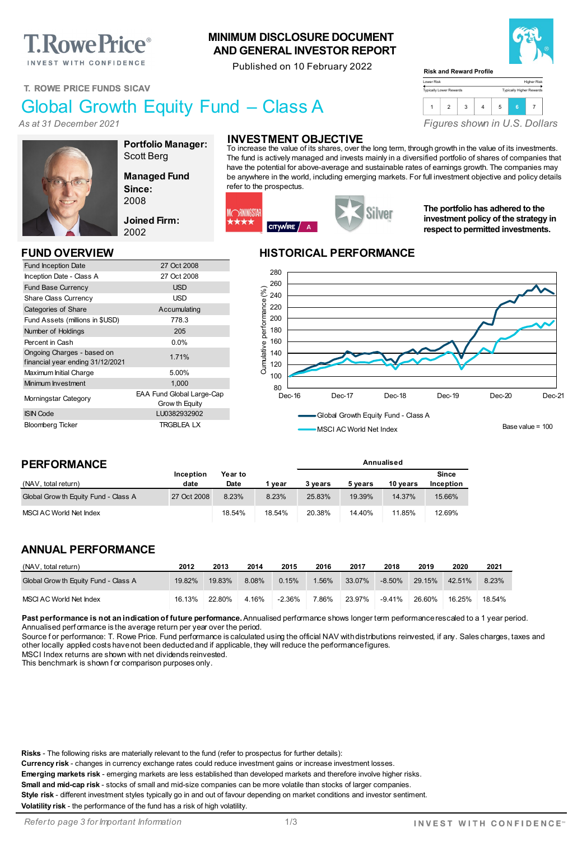# **T. Rowe Price**®

INVEST WITH CONFIDENCE

#### **MINIMUM DISCLOSURE DOCUMENT AND GENERAL INVESTOR REPORT**

Published on 10 February 2022



Higher Risk Typically Higher Rewards

#### **T. ROWE PRICE FUNDS SICAV**

## Global Growth Equity Fund – Class A

*As at 31 December 2021*



**Portfolio Manager:** Scott Berg

**Managed Fund Since:** 2008

**Joined Firm:** 2002

Grow th Equity

Fund Inception Date 27 Oct 2008 Inception Date - Class A 27 Oct 2008 Fund Base Currency **USD** Share Class Currency **USD** Categories of Share Accumulating Fund Assets (millions in \$USD) 778.3 Number of Holdings 205 Percent in Cash 0.0%

Ongoing Charges - based on<br>financial year ending 31/12/2021 Maximum Initial Charge 5.00% Minimum Investment 1,000 Morningstar Category EAA Fund Global Large-Cap

ISIN Code LU0382932902 Bloomberg Ticker TRGBLEA LX

### **INVESTMENT OBJECTIVE**

To increase the value of its shares, over the long term, through growth in the value of its investments. The fund is actively managed and invests mainly in a diversified portfolio of shares of companies that have the potential for above-average and sustainable rates of earnings growth. The companies may be anywhere in the world, including emerging markets. For full investment objective and policy details refer to the prospectus.

Lower Risk Typically Lower Rewards

**Risk and Reward Profile**



**The portfolio has adhered to the investment policy of the strategy in respect to permitted investments.**

*Figures shown in U.S. Dollars*

1 2 3 4 5 **<sup>6</sup>** <sup>7</sup>

#### **FUND OVERVIEW HISTORICAL PERFORMANCE**



Ongoing Charges - based on

| <b>PERFORMANCE</b>                   |                          |                 |        | Annualised |         |          |                    |
|--------------------------------------|--------------------------|-----------------|--------|------------|---------|----------|--------------------|
| (NAV, total return)                  | <b>Inception</b><br>date | Year to<br>Date |        | 3 years    |         | 10 vears | Since<br>Inception |
|                                      |                          |                 | 1 vear |            | 5 vears |          |                    |
| Global Grow th Equity Fund - Class A | 27 Oct 2008              | 8.23%           | 8.23%  | 25.83%     | 19.39%  | 14.37%   | 15.66%             |
| MSCI AC World Net Index              |                          | 18.54%          | 18.54% | 20.38%     | 14.40%  | 11.85%   | 12.69%             |

#### **ANNUAL PERFORMANCE**

| (NAV, total return)                  | 2012   | 2013   | 2014  | 2015      | 2016  | 2017   | 2018      | 2019   | 2020   | 2021   |
|--------------------------------------|--------|--------|-------|-----------|-------|--------|-----------|--------|--------|--------|
| Global Grow th Equity Fund - Class A | 19.82% | 19.83% | 8.08% | 0.15%     | 1.56% | 33.07% | $-8.50\%$ | 29.15% | 42.51% | 8.23%  |
| MSCI AC World Net Index              | 16.13% | 22.80% | 4.16% | $-2.36\%$ | 7.86% | 23.97% | $-9.41\%$ | 26.60% | 16.25% | 18.54% |

Past performance is not an indication of future performance. Annualised performance shows longer term performance rescaled to a 1 year period. Annualised perf ormance is the average return per year over the period.

Source for performance: T. Rowe Price. Fund performance is calculated using the official NAV with distributions reinvested, if any. Sales charges, taxes and other locally applied costs have not been deducted and if applicable, they will reduce the performance figures.

MSCI Index returns are shown with net dividends reinvested.

This benchmark is shown f or comparison purposes only.

**Risks** - The following risks are materially relevant to the fund (refer to prospectus for further details):

**Currency risk** - changes in currency exchange rates could reduce investment gains or increase investment losses.

**Emerging markets risk** - emerging markets are less established than developed markets and therefore involve higher risks.

**Small and mid-cap risk** - stocks of small and mid-size companies can be more volatile than stocks of larger companies. **Style risk** - different investment styles typically go in and out of favour depending on market conditions and investor sentiment.

**Volatility risk** - the performance of the fund has a risk of high volatility.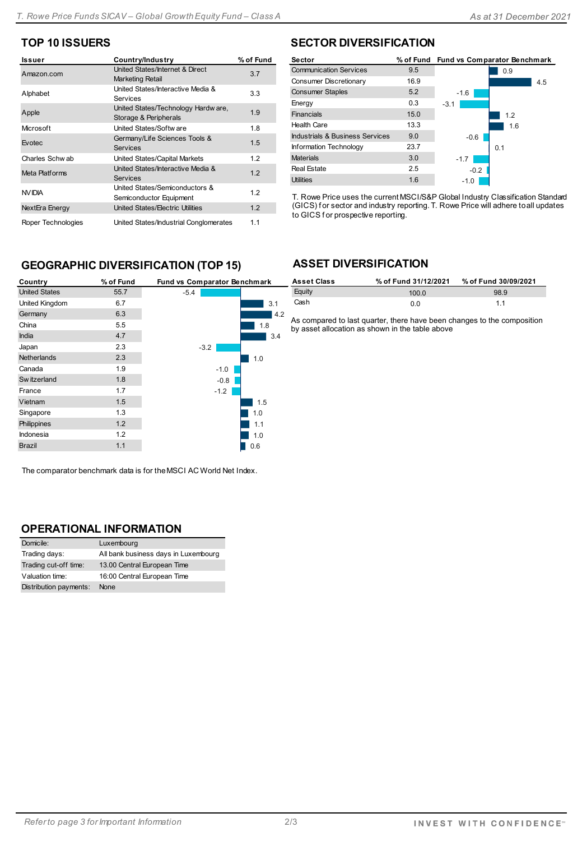#### **TOP 10 ISSUERS**

| <b>Issuer</b>      | Country/Industry                                             | % of Fund |
|--------------------|--------------------------------------------------------------|-----------|
| Amazon.com         | United States/Internet & Direct<br>Marketing Retail          | 3.7       |
| Alphabet           | United States/Interactive Media &<br>Services                | 3.3       |
| Apple              | United States/Technology Hardw are,<br>Storage & Peripherals | 1.9       |
| Microsoft          | United States/Softw are                                      | 1.8       |
| Evotec             | Germany/Life Sciences Tools &<br><b>Services</b>             | 1.5       |
| Charles Schw ab    | United States/Capital Markets                                | 1.2       |
| Meta Platforms     | United States/Interactive Media &<br><b>Services</b>         | 1.2       |
| NV IDIA            | United States/Semiconductors &<br>Semiconductor Equipment    | 1.2       |
| NextEra Energy     | United States/Electric Utilities                             | 1.2       |
| Roper Technologies | United States/Industrial Conglomerates                       | 1.1       |

#### **GEOGRAPHIC DIVERSIFICATION (TOP 15)**

| Country              | % of Fund | Fund vs Comparator Benchmark |  |
|----------------------|-----------|------------------------------|--|
| <b>United States</b> | 55.7      | $-5.4$                       |  |
| United Kingdom       | 6.7       | 3.1                          |  |
| Germany              | 6.3       | 4.2                          |  |
| China                | 5.5       | 1.8                          |  |
| <b>India</b>         | 4.7       | 3.4                          |  |
| Japan                | 2.3       | $-3.2$                       |  |
| <b>Netherlands</b>   | 2.3       | 1.0                          |  |
| Canada               | 1.9       | $-1.0$                       |  |
| Sw itzerland         | 1.8       | $-0.8$                       |  |
| France               | 1.7       | $-1.2$                       |  |
| Vietnam              | 1.5       | 1.5                          |  |
| Singapore            | 1.3       | 1.0                          |  |
| Philippines          | 1.2       | 1.1                          |  |
| <b>Indonesia</b>     | 1.2       | 1.0                          |  |
| <b>Brazil</b>        | 1.1       | 0.6                          |  |

The comparator benchmark data is for the MSCI AC World Net Index.

#### **OPERATIONAL INFORMATION**

| Domicile:              | Luxembourg                           |
|------------------------|--------------------------------------|
| Trading days:          | All bank business days in Luxembourg |
| Trading cut-off time:  | 13.00 Central European Time          |
| Valuation time:        | 16:00 Central European Time          |
| Distribution payments: | None                                 |

#### **SECTOR DIVERSIFICATION**

| Sector                          |      |        | % of Fund Fund vs Comparator Benchmark |
|---------------------------------|------|--------|----------------------------------------|
| <b>Communication Services</b>   | 9.5  |        | 0.9                                    |
| Consumer Discretionary          | 16.9 |        | 4.5                                    |
| <b>Consumer Staples</b>         | 5.2  | $-1.6$ |                                        |
| Energy                          | 0.3  | $-3.1$ |                                        |
| Financials                      | 15.0 |        | 1.2                                    |
| <b>Health Care</b>              | 13.3 |        | 1.6                                    |
| Industrials & Business Services | 9.0  | $-0.6$ |                                        |
| Information Technology          | 23.7 |        | 0.1                                    |
| <b>Materials</b>                | 3.0  | $-1.7$ |                                        |
| <b>Real Estate</b>              | 2.5  | $-0.2$ |                                        |
| <b>Utilities</b>                | 1.6  | $-1.0$ |                                        |

T. Rowe Price uses the current MSCI/S&P Global Industry Classification Standard (GICS) f or sector and industry reporting. T. Rowe Price will adhere to all updates to GICS f or prospective reporting.

#### **ASSET DIVERSIFICATION**

| <b>Asset Class</b> | % of Fund 31/12/2021 | % of Fund 30/09/2021 |
|--------------------|----------------------|----------------------|
| Equity             | 100.0                | 98.9                 |
| Cash               | 0.0                  | 11                   |

As compared to last quarter, there have been changes to the composition by asset allocation as shown in the table above